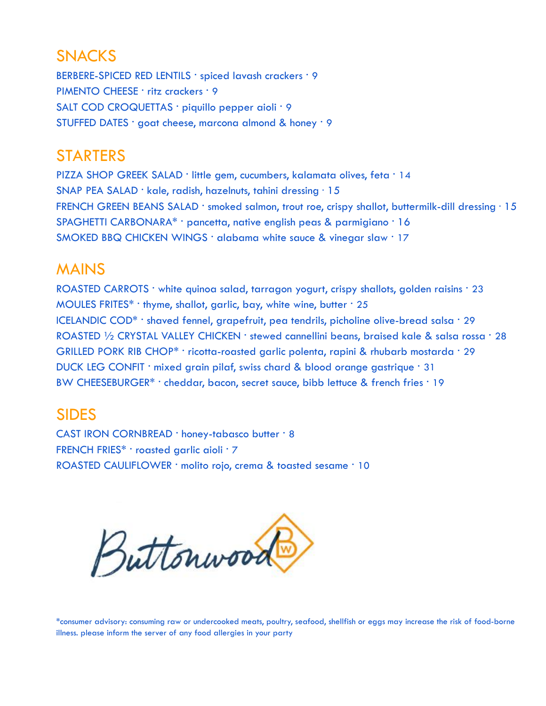# SNACKS

BERBERE-SPICED RED LENTILS · spiced lavash crackers · 9 PIMENTO CHEESE · ritz crackers · 9 SALT COD CROQUETTAS · piquillo pepper aioli · 9 STUFFED DATES · goat cheese, marcona almond & honey · 9

# STARTERS

PIZZA SHOP GREEK SALAD · little gem, cucumbers, kalamata olives, feta · 14 SNAP PEA SALAD · kale, radish, hazelnuts, tahini dressing · 15 FRENCH GREEN BEANS SALAD · smoked salmon, trout roe, crispy shallot, buttermilk-dill dressing · 15 SPAGHETTI CARBONARA\* · pancetta, native english peas & parmigiano · 16 SMOKED BBQ CHICKEN WINGS · alabama white sauce & vinegar slaw · 17

## MAINS

ROASTED CARROTS · white quinoa salad, tarragon yogurt, crispy shallots, golden raisins · 23 MOULES FRITES\*  $\cdot$  thyme, shallot, garlic, bay, white wine, butter  $\cdot$  25 ICELANDIC COD<sup>\*</sup> · shaved fennel, grapefruit, pea tendrils, picholine olive-bread salsa · 29 ROASTED 1/2 CRYSTAL VALLEY CHICKEN · stewed cannellini beans, braised kale & salsa rossa · 28 GRILLED PORK RIB CHOP\* · ricotta-roasted garlic polenta, rapini & rhubarb mostarda · 29 DUCK LEG CONFIT · mixed grain pilaf, swiss chard & blood orange gastrique · 31 BW CHEESEBURGER\* · cheddar, bacon, secret sauce, bibb lettuce & french fries · 19

## SIDES

CAST IRON CORNBREAD · honey-tabasco butter · 8 FRENCH FRIES\* · roasted garlic aioli · 7 ROASTED CAULIFLOWER · molito rojo, crema & toasted sesame · 10



\*consumer advisory: consuming raw or undercooked meats, poultry, seafood, shellfish or eggs may increase the risk of food-borne illness. please inform the server of any food allergies in your party